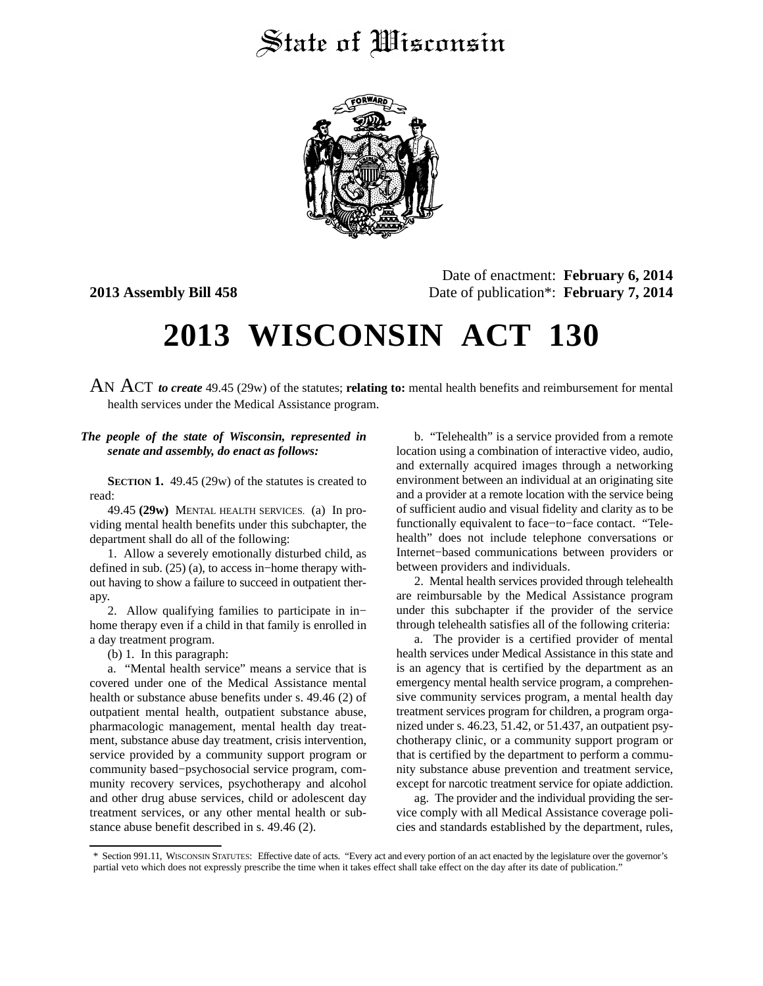## State of Wisconsin



Date of enactment: **February 6, 2014 2013 Assembly Bill 458** Date of publication\*: **February 7, 2014**

## **2013 WISCONSIN ACT 130**

AN ACT *to create* 49.45 (29w) of the statutes; **relating to:** mental health benefits and reimbursement for mental health services under the Medical Assistance program.

## *The people of the state of Wisconsin, represented in senate and assembly, do enact as follows:*

**SECTION 1.** 49.45 (29w) of the statutes is created to read:

49.45 **(29w)** MENTAL HEALTH SERVICES. (a) In providing mental health benefits under this subchapter, the department shall do all of the following:

1. Allow a severely emotionally disturbed child, as defined in sub. (25) (a), to access in−home therapy without having to show a failure to succeed in outpatient therapy.

2. Allow qualifying families to participate in in− home therapy even if a child in that family is enrolled in a day treatment program.

(b) 1. In this paragraph:

a. "Mental health service" means a service that is covered under one of the Medical Assistance mental health or substance abuse benefits under s. 49.46 (2) of outpatient mental health, outpatient substance abuse, pharmacologic management, mental health day treatment, substance abuse day treatment, crisis intervention, service provided by a community support program or community based−psychosocial service program, community recovery services, psychotherapy and alcohol and other drug abuse services, child or adolescent day treatment services, or any other mental health or substance abuse benefit described in s. 49.46 (2).

b. "Telehealth" is a service provided from a remote location using a combination of interactive video, audio, and externally acquired images through a networking environment between an individual at an originating site and a provider at a remote location with the service being of sufficient audio and visual fidelity and clarity as to be functionally equivalent to face−to−face contact. "Telehealth" does not include telephone conversations or Internet−based communications between providers or between providers and individuals.

2. Mental health services provided through telehealth are reimbursable by the Medical Assistance program under this subchapter if the provider of the service through telehealth satisfies all of the following criteria:

a. The provider is a certified provider of mental health services under Medical Assistance in this state and is an agency that is certified by the department as an emergency mental health service program, a comprehensive community services program, a mental health day treatment services program for children, a program organized under s. 46.23, 51.42, or 51.437, an outpatient psychotherapy clinic, or a community support program or that is certified by the department to perform a community substance abuse prevention and treatment service, except for narcotic treatment service for opiate addiction.

ag. The provider and the individual providing the service comply with all Medical Assistance coverage policies and standards established by the department, rules,

<sup>\*</sup> Section 991.11, WISCONSIN STATUTES: Effective date of acts. "Every act and every portion of an act enacted by the legislature over the governor's partial veto which does not expressly prescribe the time when it takes effect shall take effect on the day after its date of publication."